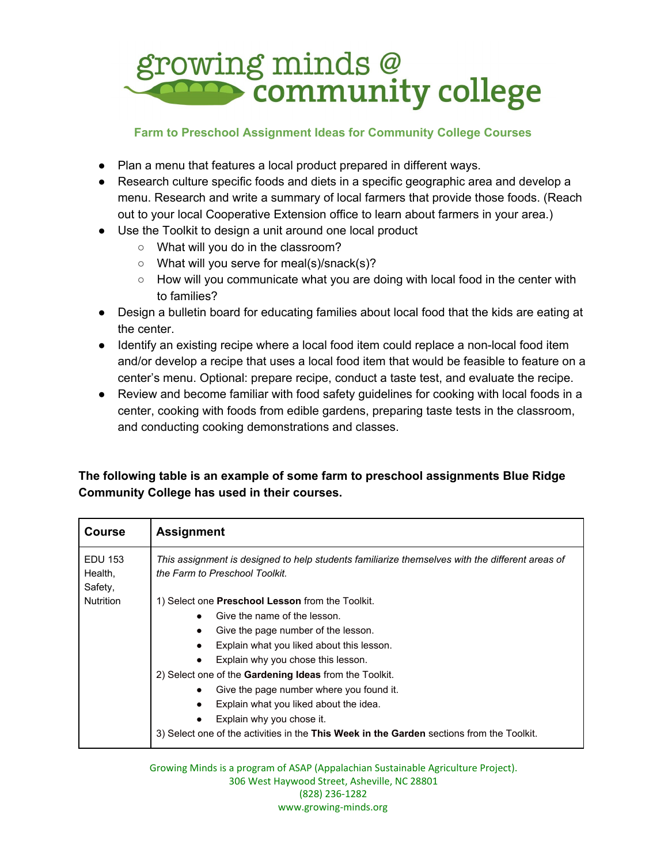

## **Farm to Preschool Assignment Ideas for Community College Courses**

- Plan a menu that features a local product prepared in different ways.
- Research culture specific foods and diets in a specific geographic area and develop a menu. Research and write a summary of local farmers that provide those foods. (Reach out to your local Cooperative Extension office to learn about farmers in your area.)
- Use the Toolkit to design a unit around one local product
	- What will you do in the classroom?
	- What will you serve for meal(s)/snack(s)?
	- How will you communicate what you are doing with local food in the center with to families?
- Design a bulletin board for educating families about local food that the kids are eating at the center.
- Identify an existing recipe where a local food item could replace a non-local food item and/or develop a recipe that uses a local food item that would be feasible to feature on a center's menu. Optional: prepare recipe, conduct a taste test, and evaluate the recipe.
- Review and become familiar with food safety guidelines for cooking with local foods in a center, cooking with foods from edible gardens, preparing taste tests in the classroom, and conducting cooking demonstrations and classes.

## **The following table is an example of some farm to preschool assignments Blue Ridge Community College has used in their courses.**

| <b>Course</b>                 | <b>Assignment</b>                                                                                                                 |
|-------------------------------|-----------------------------------------------------------------------------------------------------------------------------------|
| EDU 153<br>Health,<br>Safety, | This assignment is designed to help students familiarize themselves with the different areas of<br>the Farm to Preschool Toolkit. |
| <b>Nutrition</b>              | 1) Select one Preschool Lesson from the Toolkit.                                                                                  |
|                               | Give the name of the lesson.                                                                                                      |
|                               | Give the page number of the lesson.                                                                                               |
|                               | Explain what you liked about this lesson.                                                                                         |
|                               | Explain why you chose this lesson.                                                                                                |
|                               | 2) Select one of the <b>Gardening Ideas</b> from the Toolkit.                                                                     |
|                               | Give the page number where you found it.                                                                                          |
|                               | Explain what you liked about the idea.                                                                                            |
|                               | Explain why you chose it.                                                                                                         |
|                               | 3) Select one of the activities in the This Week in the Garden sections from the Toolkit.                                         |

Growing Minds is a program of ASAP (Appalachian Sustainable Agriculture Project). 306 West Haywood Street, Asheville, NC 28801 (828) 236-1282 www.growing-minds.org